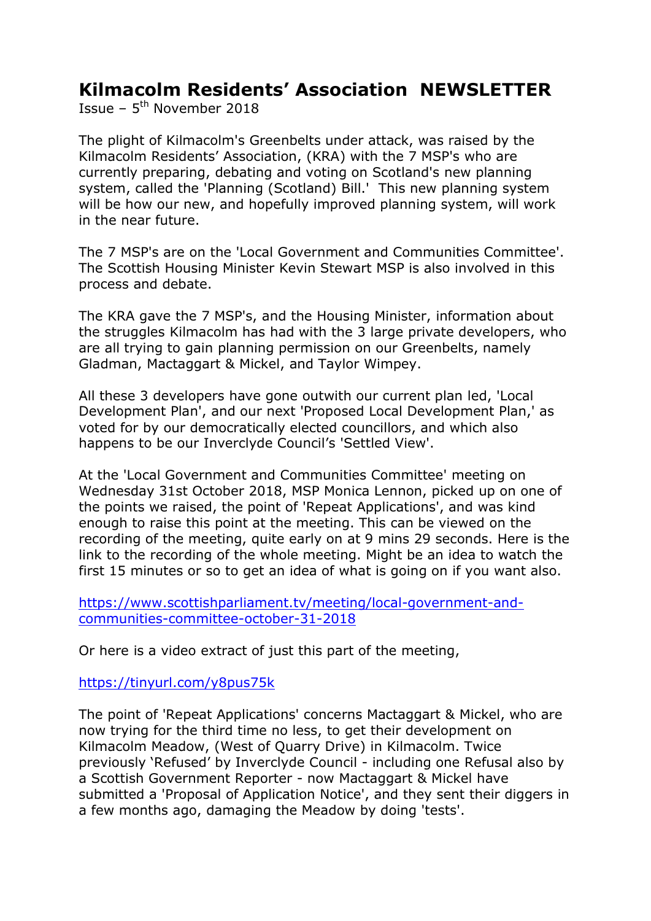## Kilmacolm Residents' Association NEWSLETTER

Issue –  $5^{th}$  November 2018

The plight of Kilmacolm's Greenbelts under attack, was raised by the Kilmacolm Residents' Association, (KRA) with the 7 MSP's who are currently preparing, debating and voting on Scotland's new planning system, called the 'Planning (Scotland) Bill.' This new planning system will be how our new, and hopefully improved planning system, will work in the near future.

The 7 MSP's are on the 'Local Government and Communities Committee'. The Scottish Housing Minister Kevin Stewart MSP is also involved in this process and debate.

The KRA gave the 7 MSP's, and the Housing Minister, information about the struggles Kilmacolm has had with the 3 large private developers, who are all trying to gain planning permission on our Greenbelts, namely Gladman, Mactaggart & Mickel, and Taylor Wimpey.

All these 3 developers have gone outwith our current plan led, 'Local Development Plan', and our next 'Proposed Local Development Plan,' as voted for by our democratically elected councillors, and which also happens to be our Inverclyde Council's 'Settled View'.

At the 'Local Government and Communities Committee' meeting on Wednesday 31st October 2018, MSP Monica Lennon, picked up on one of the points we raised, the point of 'Repeat Applications', and was kind enough to raise this point at the meeting. This can be viewed on the recording of the meeting, quite early on at 9 mins 29 seconds. Here is the link to the recording of the whole meeting. Might be an idea to watch the first 15 minutes or so to get an idea of what is going on if you want also.

https://www.scottishparliament.tv/meeting/local-government-andcommunities-committee-october-31-2018

Or here is a video extract of just this part of the meeting,

https://tinyurl.com/y8pus75k

The point of 'Repeat Applications' concerns Mactaggart & Mickel, who are now trying for the third time no less, to get their development on Kilmacolm Meadow, (West of Quarry Drive) in Kilmacolm. Twice previously 'Refused' by Inverclyde Council - including one Refusal also by a Scottish Government Reporter - now Mactaggart & Mickel have submitted a 'Proposal of Application Notice', and they sent their diggers in a few months ago, damaging the Meadow by doing 'tests'.